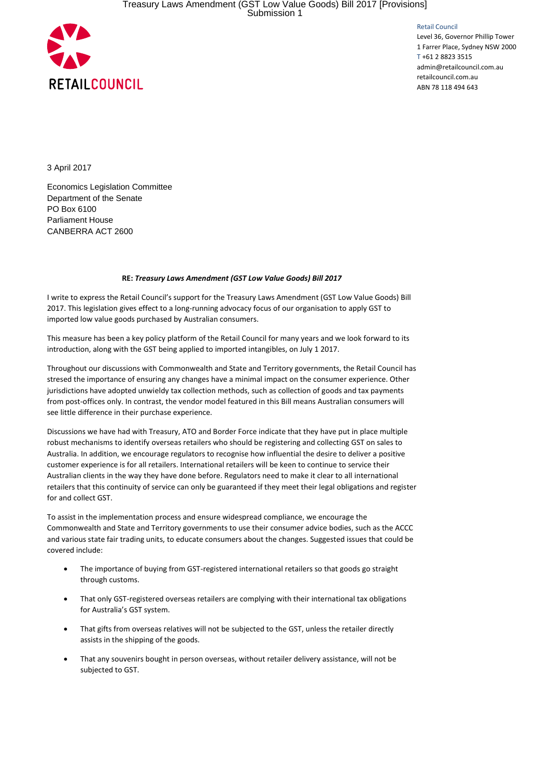

Retail Council

Level 36, Governor Phillip Tower 1 Farrer Place, Sydney NSW 2000 T +61 2 8823 3515 admin@retailcouncil.com.au retailcouncil.com.au ABN 78 118 494 643

3 April 2017

Economics Legislation Committee Department of the Senate PO Box 6100 Parliament House CANBERRA ACT 2600

## **RE:** *Treasury Laws Amendment (GST Low Value Goods) Bill 2017*

I write to express the Retail Council's support for the Treasury Laws Amendment (GST Low Value Goods) Bill 2017. This legislation gives effect to a long-running advocacy focus of our organisation to apply GST to imported low value goods purchased by Australian consumers.

This measure has been a key policy platform of the Retail Council for many years and we look forward to its introduction, along with the GST being applied to imported intangibles, on July 1 2017.

Throughout our discussions with Commonwealth and State and Territory governments, the Retail Council has stresed the importance of ensuring any changes have a minimal impact on the consumer experience. Other jurisdictions have adopted unwieldy tax collection methods, such as collection of goods and tax payments from post-offices only. In contrast, the vendor model featured in this Bill means Australian consumers will see little difference in their purchase experience.

Discussions we have had with Treasury, ATO and Border Force indicate that they have put in place multiple robust mechanisms to identify overseas retailers who should be registering and collecting GST on sales to Australia. In addition, we encourage regulators to recognise how influential the desire to deliver a positive customer experience is for all retailers. International retailers will be keen to continue to service their Australian clients in the way they have done before. Regulators need to make it clear to all international retailers that this continuity of service can only be guaranteed if they meet their legal obligations and register for and collect GST.

To assist in the implementation process and ensure widespread compliance, we encourage the Commonwealth and State and Territory governments to use their consumer advice bodies, such as the ACCC and various state fair trading units, to educate consumers about the changes. Suggested issues that could be covered include:

- The importance of buying from GST-registered international retailers so that goods go straight through customs.
- That only GST-registered overseas retailers are complying with their international tax obligations for Australia's GST system.
- That gifts from overseas relatives will not be subjected to the GST, unless the retailer directly assists in the shipping of the goods.
- That any souvenirs bought in person overseas, without retailer delivery assistance, will not be subjected to GST.